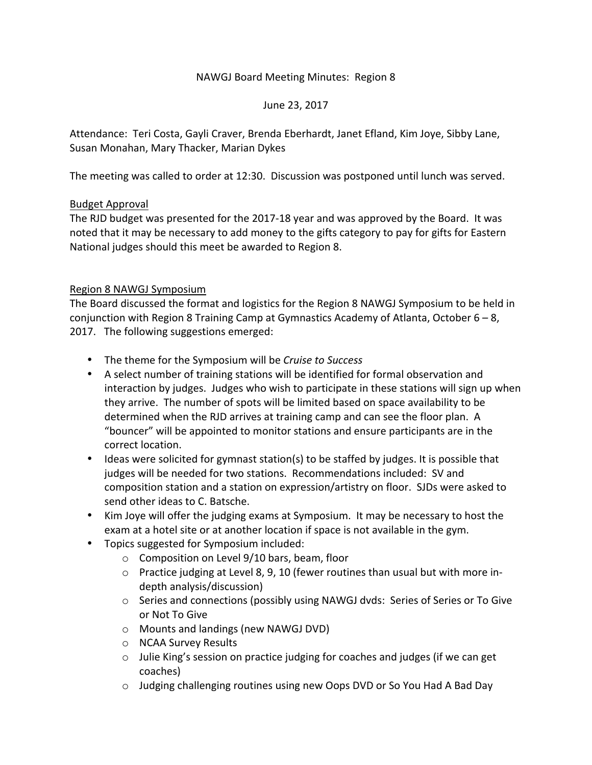### NAWGJ Board Meeting Minutes: Region 8

### June 23, 2017

Attendance: Teri Costa, Gayli Craver, Brenda Eberhardt, Janet Efland, Kim Joye, Sibby Lane, Susan Monahan, Mary Thacker, Marian Dykes

The meeting was called to order at 12:30. Discussion was postponed until lunch was served.

### Budget Approval

The RJD budget was presented for the 2017-18 year and was approved by the Board. It was noted that it may be necessary to add money to the gifts category to pay for gifts for Eastern National judges should this meet be awarded to Region 8.

### Region 8 NAWGJ Symposium

The Board discussed the format and logistics for the Region 8 NAWGJ Symposium to be held in conjunction with Region 8 Training Camp at Gymnastics Academy of Atlanta, October  $6 - 8$ , 2017. The following suggestions emerged:

- The theme for the Symposium will be *Cruise to Success*
- A select number of training stations will be identified for formal observation and interaction by judges. Judges who wish to participate in these stations will sign up when they arrive. The number of spots will be limited based on space availability to be determined when the RJD arrives at training camp and can see the floor plan. A "bouncer" will be appointed to monitor stations and ensure participants are in the correct location.
- Ideas were solicited for gymnast station(s) to be staffed by judges. It is possible that judges will be needed for two stations. Recommendations included: SV and composition station and a station on expression/artistry on floor. SJDs were asked to send other ideas to C. Batsche.
- Kim Joye will offer the judging exams at Symposium. It may be necessary to host the exam at a hotel site or at another location if space is not available in the gym.
- Topics suggested for Symposium included:
	- $\circ$  Composition on Level 9/10 bars, beam, floor
	- $\circ$  Practice judging at Level 8, 9, 10 (fewer routines than usual but with more indepth analysis/discussion)
	- o Series and connections (possibly using NAWGJ dvds: Series of Series or To Give or Not To Give
	- o Mounts and landings (new NAWGJ DVD)
	- o NCAA Survey Results
	- $\circ$  Julie King's session on practice judging for coaches and judges (if we can get coaches)
	- $\circ$  Judging challenging routines using new Oops DVD or So You Had A Bad Day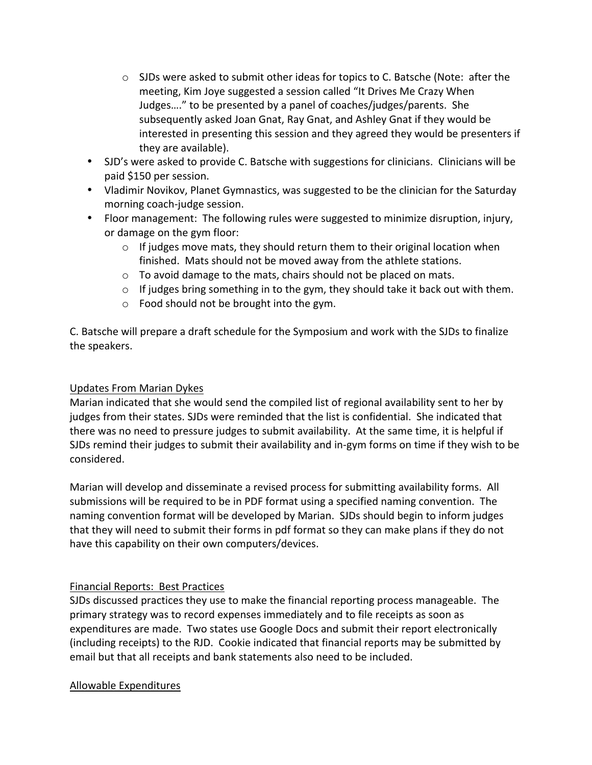- $\circ$  SJDs were asked to submit other ideas for topics to C. Batsche (Note: after the meeting, Kim Joye suggested a session called "It Drives Me Crazy When Judges...." to be presented by a panel of coaches/judges/parents. She subsequently asked Joan Gnat, Ray Gnat, and Ashley Gnat if they would be interested in presenting this session and they agreed they would be presenters if they are available).
- SJD's were asked to provide C. Batsche with suggestions for clinicians. Clinicians will be paid \$150 per session.
- Vladimir Novikov, Planet Gymnastics, was suggested to be the clinician for the Saturday morning coach-judge session.
- Floor management: The following rules were suggested to minimize disruption, injury, or damage on the gym floor:
	- $\circ$  If judges move mats, they should return them to their original location when finished. Mats should not be moved away from the athlete stations.
	- $\circ$  To avoid damage to the mats, chairs should not be placed on mats.
	- $\circ$  If judges bring something in to the gym, they should take it back out with them.
	- $\circ$  Food should not be brought into the gym.

C. Batsche will prepare a draft schedule for the Symposium and work with the SJDs to finalize the speakers.

## Updates From Marian Dykes

Marian indicated that she would send the compiled list of regional availability sent to her by judges from their states. SJDs were reminded that the list is confidential. She indicated that there was no need to pressure judges to submit availability. At the same time, it is helpful if SJDs remind their judges to submit their availability and in-gym forms on time if they wish to be considered. 

Marian will develop and disseminate a revised process for submitting availability forms. All submissions will be required to be in PDF format using a specified naming convention. The naming convention format will be developed by Marian. SJDs should begin to inform judges that they will need to submit their forms in pdf format so they can make plans if they do not have this capability on their own computers/devices.

# Financial Reports: Best Practices

SJDs discussed practices they use to make the financial reporting process manageable. The primary strategy was to record expenses immediately and to file receipts as soon as expenditures are made. Two states use Google Docs and submit their report electronically (including receipts) to the RJD. Cookie indicated that financial reports may be submitted by email but that all receipts and bank statements also need to be included.

## Allowable Expenditures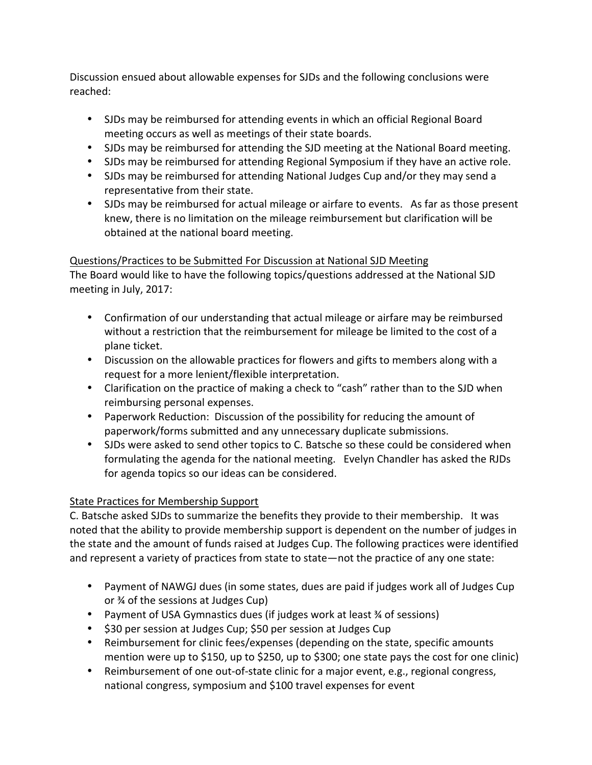Discussion ensued about allowable expenses for SJDs and the following conclusions were reached:

- SJDs may be reimbursed for attending events in which an official Regional Board meeting occurs as well as meetings of their state boards.
- SJDs may be reimbursed for attending the SJD meeting at the National Board meeting.
- SJDs may be reimbursed for attending Regional Symposium if they have an active role.
- SJDs may be reimbursed for attending National Judges Cup and/or they may send a representative from their state.
- SJDs may be reimbursed for actual mileage or airfare to events. As far as those present knew, there is no limitation on the mileage reimbursement but clarification will be obtained at the national board meeting.

## Questions/Practices to be Submitted For Discussion at National SJD Meeting

The Board would like to have the following topics/questions addressed at the National SJD meeting in July, 2017:

- Confirmation of our understanding that actual mileage or airfare may be reimbursed without a restriction that the reimbursement for mileage be limited to the cost of a plane ticket.
- Discussion on the allowable practices for flowers and gifts to members along with a request for a more lenient/flexible interpretation.
- Clarification on the practice of making a check to "cash" rather than to the SJD when reimbursing personal expenses.
- Paperwork Reduction: Discussion of the possibility for reducing the amount of paperwork/forms submitted and any unnecessary duplicate submissions.
- SJDs were asked to send other topics to C. Batsche so these could be considered when formulating the agenda for the national meeting. Evelyn Chandler has asked the RJDs for agenda topics so our ideas can be considered.

# State Practices for Membership Support

C. Batsche asked SJDs to summarize the benefits they provide to their membership. It was noted that the ability to provide membership support is dependent on the number of judges in the state and the amount of funds raised at Judges Cup. The following practices were identified and represent a variety of practices from state to state—not the practice of any one state:

- Payment of NAWGJ dues (in some states, dues are paid if judges work all of Judges Cup or % of the sessions at Judges Cup)
- Payment of USA Gymnastics dues (if judges work at least 34 of sessions)
- \$30 per session at Judges Cup; \$50 per session at Judges Cup
- Reimbursement for clinic fees/expenses (depending on the state, specific amounts mention were up to \$150, up to \$250, up to \$300; one state pays the cost for one clinic)
- Reimbursement of one out-of-state clinic for a major event, e.g., regional congress, national congress, symposium and \$100 travel expenses for event